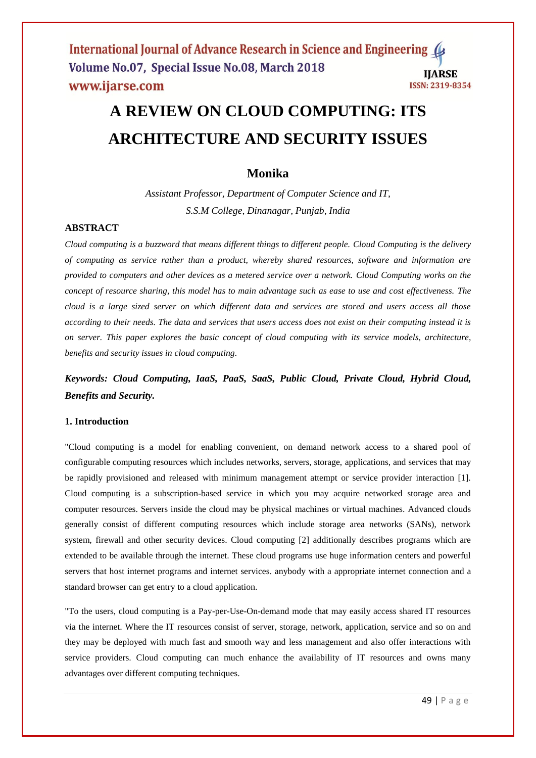# **A REVIEW ON CLOUD COMPUTING: ITS ARCHITECTURE AND SECURITY ISSUES**

# **Monika**

*Assistant Professor, Department of Computer Science and IT, S.S.M College, Dinanagar, Punjab, India*

# **ABSTRACT**

*Cloud computing is a buzzword that means different things to different people. Cloud Computing is the delivery of computing as service rather than a product, whereby shared resources, software and information are provided to computers and other devices as a metered service over a network. Cloud Computing works on the concept of resource sharing, this model has to main advantage such as ease to use and cost effectiveness. The cloud is a large sized server on which different data and services are stored and users access all those according to their needs. The data and services that users access does not exist on their computing instead it is on server. This paper explores the basic concept of cloud computing with its service models, architecture, benefits and security issues in cloud computing.* 

*Keywords: Cloud Computing, IaaS, PaaS, SaaS, Public Cloud, Private Cloud, Hybrid Cloud, Benefits and Security.*

# **1. Introduction**

"Cloud computing is a model for enabling convenient, on demand network access to a shared pool of configurable computing resources which includes networks, servers, storage, applications, and services that may be rapidly provisioned and released with minimum management attempt or service provider interaction [1]. Cloud computing is a subscription-based service in which you may acquire networked storage area and computer resources. Servers inside the cloud may be physical machines or virtual machines. Advanced clouds generally consist of different computing resources which include storage area networks (SANs), network system, firewall and other security devices. Cloud computing [2] additionally describes programs which are extended to be available through the internet. These cloud programs use huge information centers and powerful servers that host internet programs and internet services. anybody with a appropriate internet connection and a standard browser can get entry to a cloud application.

"To the users, cloud computing is a Pay-per-Use-On-demand mode that may easily access shared IT resources via the internet. Where the IT resources consist of server, storage, network, application, service and so on and they may be deployed with much fast and smooth way and less management and also offer interactions with service providers. Cloud computing can much enhance the availability of IT resources and owns many advantages over different computing techniques.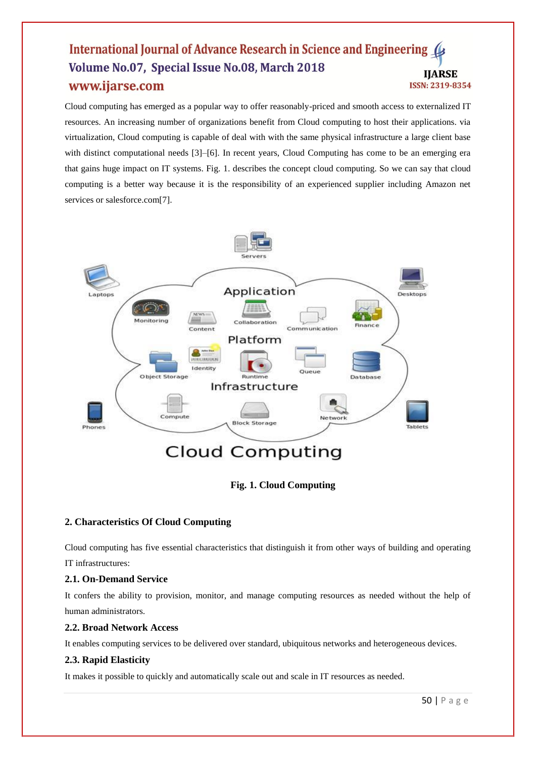Cloud computing has emerged as a popular way to offer reasonably-priced and smooth access to externalized IT resources. An increasing number of organizations benefit from Cloud computing to host their applications. via virtualization, Cloud computing is capable of deal with with the same physical infrastructure a large client base with distinct computational needs [3]–[6]. In recent years, Cloud Computing has come to be an emerging era that gains huge impact on IT systems. Fig. 1. describes the concept cloud computing. So we can say that cloud computing is a better way because it is the responsibility of an experienced supplier including Amazon net services or salesforce.com[7].





# **2. Characteristics Of Cloud Computing**

Cloud computing has five essential characteristics that distinguish it from other ways of building and operating IT infrastructures:

# **2.1. On-Demand Service**

It confers the ability to provision, monitor, and manage computing resources as needed without the help of human administrators.

# **2.2. Broad Network Access**

It enables computing services to be delivered over standard, ubiquitous networks and heterogeneous devices.

# **2.3. Rapid Elasticity**

It makes it possible to quickly and automatically scale out and scale in IT resources as needed.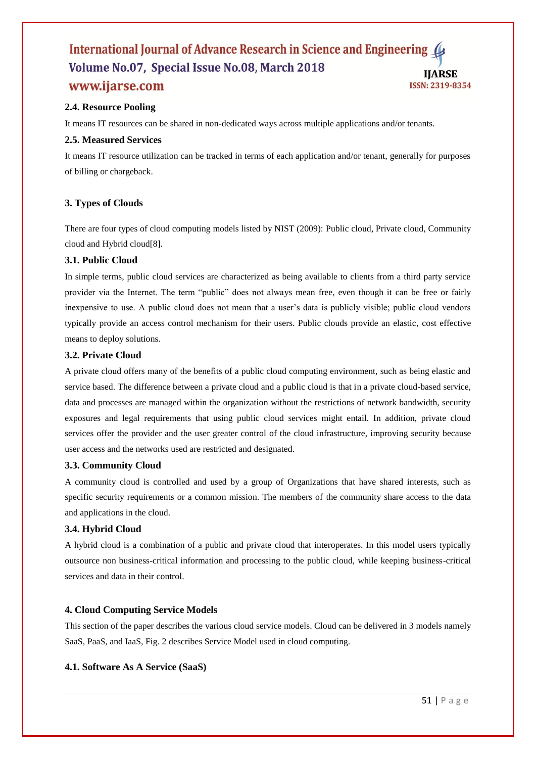# **2.4. Resource Pooling**

It means IT resources can be shared in non-dedicated ways across multiple applications and/or tenants.

#### **2.5. Measured Services**

It means IT resource utilization can be tracked in terms of each application and/or tenant, generally for purposes of billing or chargeback.

#### **3. Types of Clouds**

There are four types of cloud computing models listed by NIST (2009): Public cloud, Private cloud, Community cloud and Hybrid cloud[8].

#### **3.1. Public Cloud**

In simple terms, public cloud services are characterized as being available to clients from a third party service provider via the Internet. The term "public" does not always mean free, even though it can be free or fairly inexpensive to use. A public cloud does not mean that a user's data is publicly visible; public cloud vendors typically provide an access control mechanism for their users. Public clouds provide an elastic, cost effective means to deploy solutions.

#### **3.2. Private Cloud**

A private cloud offers many of the benefits of a public cloud computing environment, such as being elastic and service based. The difference between a private cloud and a public cloud is that in a private cloud-based service, data and processes are managed within the organization without the restrictions of network bandwidth, security exposures and legal requirements that using public cloud services might entail. In addition, private cloud services offer the provider and the user greater control of the cloud infrastructure, improving security because user access and the networks used are restricted and designated.

#### **3.3. Community Cloud**

A community cloud is controlled and used by a group of Organizations that have shared interests, such as specific security requirements or a common mission. The members of the community share access to the data and applications in the cloud.

#### **3.4. Hybrid Cloud**

A hybrid cloud is a combination of a public and private cloud that interoperates. In this model users typically outsource non business-critical information and processing to the public cloud, while keeping business-critical services and data in their control.

#### **4. Cloud Computing Service Models**

This section of the paper describes the various cloud service models. Cloud can be delivered in 3 models namely SaaS, PaaS, and IaaS, Fig. 2 describes Service Model used in cloud computing.

#### **4.1. Software As A Service (SaaS)**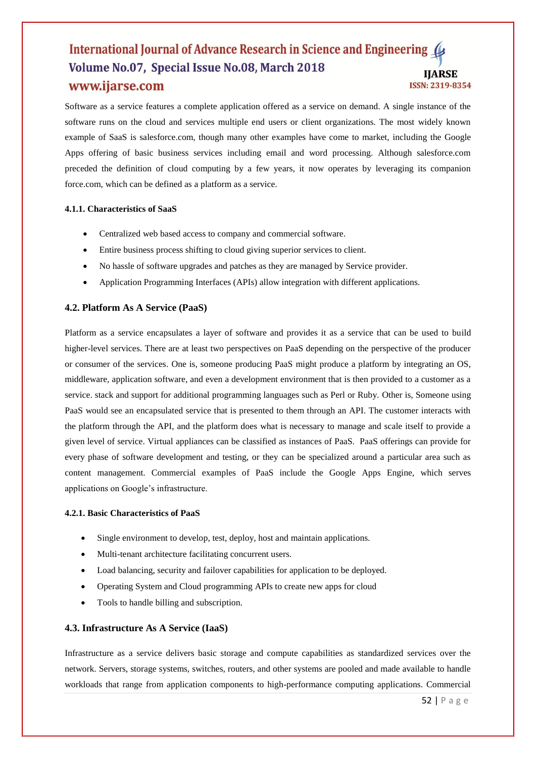Software as a service features a complete application offered as a service on demand. A single instance of the software runs on the cloud and services multiple end users or client organizations. The most widely known example of SaaS is salesforce.com, though many other examples have come to market, including the Google Apps offering of basic business services including email and word processing. Although salesforce.com preceded the definition of cloud computing by a few years, it now operates by leveraging its companion force.com, which can be defined as a platform as a service.

#### **4.1.1. Characteristics of SaaS**

- Centralized web based access to company and commercial software.
- Entire business process shifting to cloud giving superior services to client.
- No hassle of software upgrades and patches as they are managed by Service provider.
- Application Programming Interfaces (APIs) allow integration with different applications.

#### **4.2. Platform As A Service (PaaS)**

Platform as a service encapsulates a layer of software and provides it as a service that can be used to build higher-level services. There are at least two perspectives on PaaS depending on the perspective of the producer or consumer of the services. One is, someone producing PaaS might produce a platform by integrating an OS, middleware, application software, and even a development environment that is then provided to a customer as a service. stack and support for additional programming languages such as Perl or Ruby. Other is, Someone using PaaS would see an encapsulated service that is presented to them through an API. The customer interacts with the platform through the API, and the platform does what is necessary to manage and scale itself to provide a given level of service. Virtual appliances can be classified as instances of PaaS. PaaS offerings can provide for every phase of software development and testing, or they can be specialized around a particular area such as content management. Commercial examples of PaaS include the Google Apps Engine, which serves applications on Google's infrastructure.

#### **4.2.1. Basic Characteristics of PaaS**

- Single environment to develop, test, deploy, host and maintain applications.
- Multi-tenant architecture facilitating concurrent users.
- Load balancing, security and failover capabilities for application to be deployed.
- Operating System and Cloud programming APIs to create new apps for cloud
- Tools to handle billing and subscription.

#### **4.3. Infrastructure As A Service (IaaS)**

Infrastructure as a service delivers basic storage and compute capabilities as standardized services over the network. Servers, storage systems, switches, routers, and other systems are pooled and made available to handle workloads that range from application components to high-performance computing applications. Commercial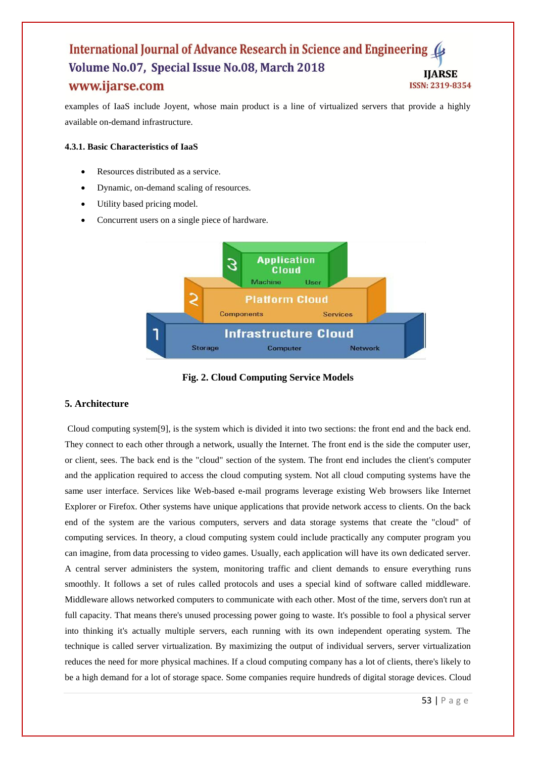examples of IaaS include Joyent, whose main product is a line of virtualized servers that provide a highly available on-demand infrastructure.

#### **4.3.1. Basic Characteristics of IaaS**

- Resources distributed as a service.
- Dynamic, on-demand scaling of resources.
- Utility based pricing model.
- Concurrent users on a single piece of hardware.



**Fig. 2. Cloud Computing Service Models**

# **5. Architecture**

Cloud computing system[9], is the system which is divided it into two sections: the front end and the back end. They connect to each other through a network, usually the Internet. The front end is the side the computer user, or client, sees. The back end is the "cloud" section of the system. The front end includes the client's computer and the application required to access the cloud computing system. Not all cloud computing systems have the same user interface. Services like Web-based e-mail programs leverage existing Web browsers like Internet Explorer or Firefox. Other systems have unique applications that provide network access to clients. On the back end of the system are the various computers, servers and data storage systems that create the "cloud" of computing services. In theory, a cloud computing system could include practically any computer program you can imagine, from data processing to video games. Usually, each application will have its own dedicated server. A central server administers the system, monitoring traffic and client demands to ensure everything runs smoothly. It follows a set of rules called protocols and uses a special kind of software called middleware. Middleware allows networked computers to communicate with each other. Most of the time, servers don't run at full capacity. That means there's unused processing power going to waste. It's possible to fool a physical server into thinking it's actually multiple servers, each running with its own independent operating system. The technique is called server virtualization. By maximizing the output of individual servers, server virtualization reduces the need for more physical machines. If a cloud computing company has a lot of clients, there's likely to be a high demand for a lot of storage space. Some companies require hundreds of digital storage devices. Cloud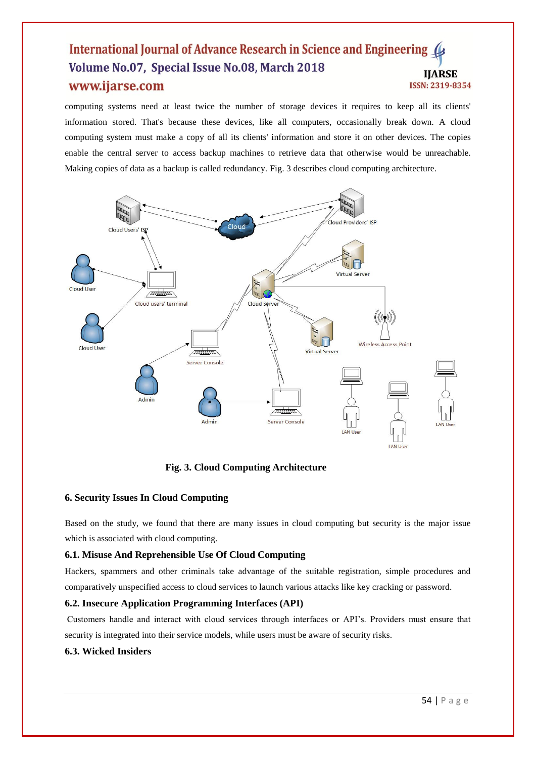computing systems need at least twice the number of storage devices it requires to keep all its clients' information stored. That's because these devices, like all computers, occasionally break down. A cloud computing system must make a copy of all its clients' information and store it on other devices. The copies enable the central server to access backup machines to retrieve data that otherwise would be unreachable. Making copies of data as a backup is called redundancy. Fig. 3 describes cloud computing architecture.



**Fig. 3. Cloud Computing Architecture**

# **6. Security Issues In Cloud Computing**

Based on the study, we found that there are many issues in cloud computing but security is the major issue which is associated with cloud computing.

# **6.1. Misuse And Reprehensible Use Of Cloud Computing**

Hackers, spammers and other criminals take advantage of the suitable registration, simple procedures and comparatively unspecified access to cloud services to launch various attacks like key cracking or password.

# **6.2. Insecure Application Programming Interfaces (API)**

Customers handle and interact with cloud services through interfaces or API's. Providers must ensure that security is integrated into their service models, while users must be aware of security risks.

# **6.3. Wicked Insiders**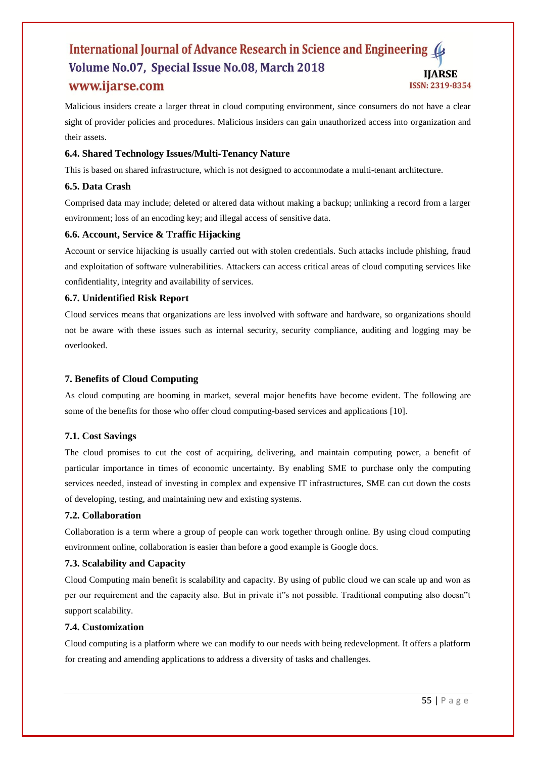Malicious insiders create a larger threat in cloud computing environment, since consumers do not have a clear sight of provider policies and procedures. Malicious insiders can gain unauthorized access into organization and their assets.

# **6.4. Shared Technology Issues/Multi-Tenancy Nature**

This is based on shared infrastructure, which is not designed to accommodate a multi-tenant architecture.

# **6.5. Data Crash**

Comprised data may include; deleted or altered data without making a backup; unlinking a record from a larger environment; loss of an encoding key; and illegal access of sensitive data.

# **6.6. Account, Service & Traffic Hijacking**

Account or service hijacking is usually carried out with stolen credentials. Such attacks include phishing, fraud and exploitation of software vulnerabilities. Attackers can access critical areas of cloud computing services like confidentiality, integrity and availability of services.

# **6.7. Unidentified Risk Report**

Cloud services means that organizations are less involved with software and hardware, so organizations should not be aware with these issues such as internal security, security compliance, auditing and logging may be overlooked.

# **7. Benefits of Cloud Computing**

As cloud computing are booming in market, several major benefits have become evident. The following are some of the benefits for those who offer cloud computing-based services and applications [10].

# **7.1. Cost Savings**

The cloud promises to cut the cost of acquiring, delivering, and maintain computing power, a benefit of particular importance in times of economic uncertainty. By enabling SME to purchase only the computing services needed, instead of investing in complex and expensive IT infrastructures, SME can cut down the costs of developing, testing, and maintaining new and existing systems.

#### **7.2. Collaboration**

Collaboration is a term where a group of people can work together through online. By using cloud computing environment online, collaboration is easier than before a good example is Google docs.

#### **7.3. Scalability and Capacity**

Cloud Computing main benefit is scalability and capacity. By using of public cloud we can scale up and won as per our requirement and the capacity also. But in private it"s not possible. Traditional computing also doesn"t support scalability.

#### **7.4. Customization**

Cloud computing is a platform where we can modify to our needs with being redevelopment. It offers a platform for creating and amending applications to address a diversity of tasks and challenges.